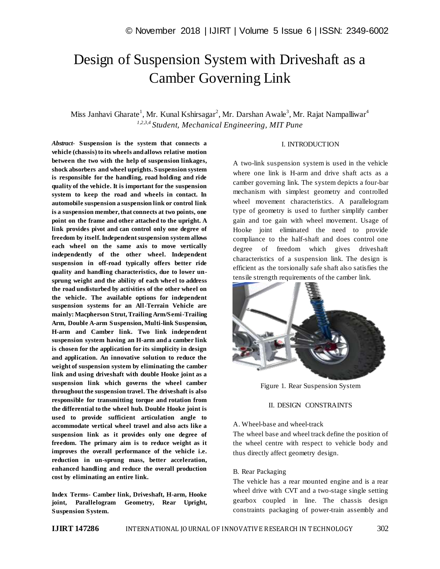# Design of Suspension System with Driveshaft as a Camber Governing Link

## Miss Janhavi Gharate<sup>1</sup>, Mr. Kunal Kshirsagar<sup>2</sup>, Mr. Darshan Awale<sup>3</sup>, Mr. Rajat Nampalliwar<sup>4</sup> *1,2,3,4 Student, Mechanical Engineering, MIT Pune*

#### I. INTRODUCTION

*Abstract*- **Suspension is the system that connects a vehicle (chassis) to its wheels and allows relative motion between the two with the help of suspension linkages, shock absorbers and wheel uprights. Suspension system is responsible for the handling, road holding and ride quality of the vehicle. It is important for the suspension system to keep the road and wheels in contact. In automobile suspension a suspension link or control link is a suspension member, that connects at two points, one point on the frame and other attached to the upright. A link provides pivot and can control only one degree of freedom by itself. Independent suspension system allows each wheel on the same axis to move vertically independently of the other wheel. Independent suspension in off-road typically offers better ride quality and handling characteristics, due to lower unsprung weight and the ability of each wheel to address the road undisturbed by activities of the other wheel on the vehicle. The available options for independent suspension systems for an All-Terrain Vehicle are mainly: Macpherson Strut, Trailing Arm/Semi-Trailing Arm, Double A-arm Suspension, Multi-link Suspension, H-arm and Camber link. Two link independent suspension system having an H-arm and a camber link is chosen for the application for its simplicity in design and application. An innovative solution to reduce the weight of suspension system by eliminating the camber link and using driveshaft with double Hooke joint as a suspension link which governs the wheel camber throughout the suspension travel. The driveshaft is also responsible for transmitting torque and rotation from the differential to the wheel hub. Double Hooke joint is used to provide sufficient articulation angle to accommodate vertical wheel travel and also acts like a suspension link as it provides only one degree of freedom. The primary aim is to reduce weight as it improves the overall performance of the vehicle i.e. reduction in un-sprung mass, better acceleration, enhanced handling and reduce the overall production cost by eliminating an entire link.**

**Index Terms- Camber link, Driveshaft, H-arm, Hooke joint, Parallelogram Geometry, Rear Upright, Suspension System.**

A two-link suspension system is used in the vehicle where one link is H-arm and drive shaft acts as a camber governing link. The system depicts a four-bar mechanism with simplest geometry and controlled wheel movement characteristics. A parallelogram type of geometry is used to further simplify camber gain and toe gain with wheel movement. Usage of Hooke joint eliminated the need to provide compliance to the half-shaft and does control one degree of freedom which gives driveshaft characteristics of a suspension link. The design is efficient as the torsionally safe shaft also satisfies the tensile strength requirements of the camber link.



Figure 1. Rear Suspension System

#### II. DESIGN CONSTRAINTS

#### A. Wheel-base and wheel-track

The wheel base and wheel track define the position of the wheel centre with respect to vehicle body and thus directly affect geometry design.

#### B. Rear Packaging

The vehicle has a rear mounted engine and is a rear wheel drive with CVT and a two-stage single setting gearbox coupled in line. The chassis design constraints packaging of power-train assembly and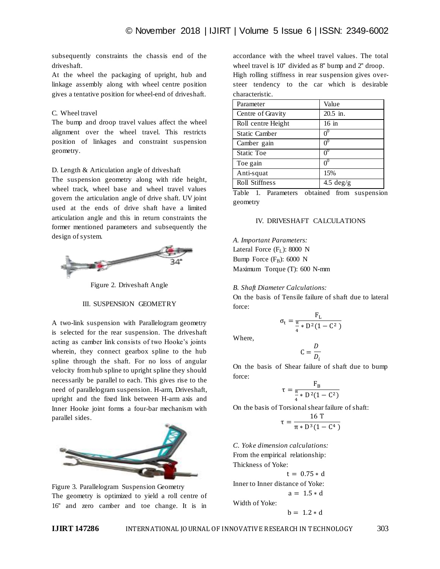subsequently constraints the chassis end of the driveshaft.

At the wheel the packaging of upright, hub and linkage assembly along with wheel centre position gives a tentative position for wheel-end of driveshaft.

#### C. Wheel travel

The bump and droop travel values affect the wheel alignment over the wheel travel. This restricts position of linkages and constraint suspension geometry.

#### D. Length & Articulation angle of driveshaft

The suspension geometry along with ride height, wheel track, wheel base and wheel travel values govern the articulation angle of drive shaft. UV joint used at the ends of drive shaft have a limited articulation angle and this in return constraints the former mentioned parameters and subsequently the design of system.



Figure 2. Driveshaft Angle

#### III. SUSPENSION GEOMETRY

A two-link suspension with Parallelogram geometry is selected for the rear suspension. The driveshaft acting as camber link consists of two Hooke"s joints wherein, they connect gearbox spline to the hub spline through the shaft. For no loss of angular velocity from hub spline to upright spline they should necessarily be parallel to each. This gives rise to the need of parallelogram suspension. H-arm, Driveshaft, upright and the fixed link between H-arm axis and Inner Hooke joint forms a four-bar mechanism with parallel sides.



Figure 3. Parallelogram Suspension Geometry The geometry is optimized to yield a roll centre of 16'' and zero camber and toe change. It is in

accordance with the wheel travel values. The total wheel travel is 10" divided as 8" bump and 2" droop. High rolling stiffness in rear suspension gives oversteer tendency to the car which is desirable characteristic.

| Value          |
|----------------|
| 20.5 in.       |
| $16$ in        |
| $0^0$          |
| 0 <sup>0</sup> |
| $0^0$          |
| 0 <sup>0</sup> |
| 15%            |
| 4.5 $deg/g$    |
|                |

Table 1. Parameters obtained from suspension geometry

#### IV. DRIVESHAFT CALCULATIONS

*A. Important Parameters:* Lateral Force  $(F<sub>L</sub>)$ : 8000 N Bump Force  $(F_B)$ : 6000 N Maximum Torque (T): 600 N-mm

#### *B. Shaft Diameter Calculations:*

On the basis of Tensile failure of shaft due to lateral force:

$$
\sigma_t = \frac{F_L}{\frac{\pi}{4} * D^2 (1 - C^2)}
$$

Where,

$$
C = \frac{D}{D_i}
$$

On the basis of Shear failure of shaft due to bump force:

$$
\tau=\frac{F_B}{\frac{\pi}{4}*D^2(1-C^2)}
$$

On the basis of Torsional shear failure of shaft:

$$
\tau = \frac{16 \text{ T}}{\pi * \text{D}^3 (1 - \text{C}^4)}
$$

*C. Yoke dimension calculations:* From the empirical relationship: Thickness of Yoke:

 $t = 0.75 * d$ 

Inner to Inner distance of Yoke:  $a = 1.5 * d$ 

Width of Yoke:

$$
b = 1.2 * d
$$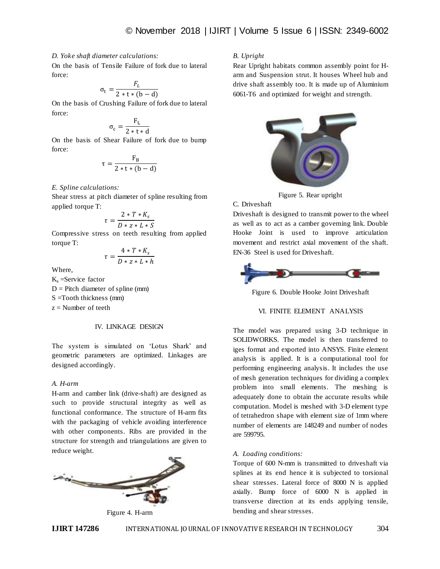#### *D. Yoke shaft diameter calculations:*

On the basis of Tensile Failure of fork due to lateral force:

$$
\sigma_{t} = \frac{F_{L}}{2 \cdot t \cdot (b - d)}
$$

On the basis of Crushing Failure of fork due to lateral force:

$$
\sigma_c = \frac{F_L}{2*t*d}
$$

On the basis of Shear Failure of fork due to bump force:

$$
\tau = \frac{F_B}{2*t*(b-d)}
$$

#### *E. Spline calculations:*

Shear stress at pitch diameter of spline resulting from applied torque T:

$$
\tau = \frac{2 * T * K_s}{D * z * L * S}
$$

Compressive stress on teeth resulting from applied torque T:

$$
\tau = \frac{4*T*K_s}{D*z*L*h}
$$

Where,

 $K<sub>s</sub>$  = Service factor  $D =$  Pitch diameter of spline (mm)

S =Tooth thickness (mm)

 $z =$  Number of teeth

#### IV. LINKAGE DESIGN

The system is simulated on "Lotus Shark" and geometric parameters are optimized. Linkages are designed accordingly.

#### *A. H-arm*

H-arm and camber link (drive-shaft) are designed as such to provide structural integrity as well as functional conformance. The structure of H-arm fits with the packaging of vehicle avoiding interference with other components. Ribs are provided in the structure for strength and triangulations are given to reduce weight.



Figure 4. H-arm

#### *B. Upright*

Rear Upright habitats common assembly point for Harm and Suspension strut. It houses Wheel hub and drive shaft assembly too. It is made up of Aluminium 6061-T6 and optimized for weight and strength.



Figure 5. Rear upright

#### C. Driveshaft

Driveshaft is designed to transmit power to the wheel as well as to act as a camber governing link. Double Hooke Joint is used to improve articulation movement and restrict axial movement of the shaft. EN-36 Steel is used for Driveshaft.



Figure 6. Double Hooke Joint Driveshaft

#### VI. FINITE ELEMENT ANALYSIS

The model was prepared using 3-D technique in SOLIDWORKS. The model is then transferred to iges format and exported into ANSYS. Finite element analysis is applied. It is a computational tool for performing engineering analysis. It includes the use of mesh generation techniques for dividing a complex problem into small elements. The meshing is adequately done to obtain the accurate results while computation. Model is meshed with 3-D element type of tetrahedron shape with element size of 1mm where number of elements are 148249 and number of nodes are 599795.

#### *A. Loading conditions:*

Torque of 600 N-mm is transmitted to driveshaft via splines at its end hence it is subjected to torsional shear stresses. Lateral force of 8000 N is applied axially. Bump force of 6000 N is applied in transverse direction at its ends applying tensile, bending and shear stresses.